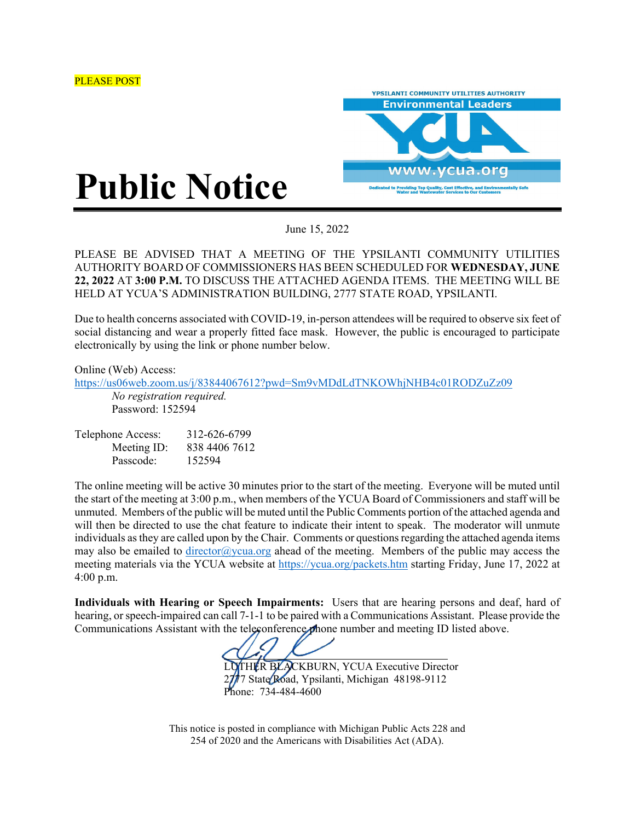

## **Public Notice**

June 15, 2022

PLEASE BE ADVISED THAT A MEETING OF THE YPSILANTI COMMUNITY UTILITIES AUTHORITY BOARD OF COMMISSIONERS HAS BEEN SCHEDULED FOR **WEDNESDAY, JUNE 22, 2022** AT **3:00 P.M.** TO DISCUSS THE ATTACHED AGENDA ITEMS. THE MEETING WILL BE HELD AT YCUA'S ADMINISTRATION BUILDING, 2777 STATE ROAD, YPSILANTI.

Due to health concerns associated with COVID-19, in-person attendees will be required to observe six feet of social distancing and wear a properly fitted face mask. However, the public is encouraged to participate electronically by using the link or phone number below.

Online (Web) Access:

https://us06web.zoom.us/j/83844067612?pwd=Sm9vMDdLdTNKOWhjNHB4c01RODZuZz09 *No registration required.*  Password: 152594

Telephone Access: 312-626-6799 Meeting ID: 838 4406 7612 Passcode: 152594

The online meeting will be active 30 minutes prior to the start of the meeting. Everyone will be muted until the start of the meeting at 3:00 p.m., when members of the YCUA Board of Commissioners and staff will be unmuted. Members of the public will be muted until the Public Comments portion of the attached agenda and will then be directed to use the chat feature to indicate their intent to speak. The moderator will unmute individuals as they are called upon by the Chair. Comments or questions regarding the attached agenda items may also be emailed to director@ycua.org ahead of the meeting. Members of the public may access the meeting materials via the YCUA website at https://ycua.org/packets.htm starting Friday, June 17, 2022 at 4:00 p.m.

**Individuals with Hearing or Speech Impairments:** Users that are hearing persons and deaf, hard of hearing, or speech-impaired can call 7-1-1 to be paired with a Communications Assistant. Please provide the Communications Assistant with the teleconference phone number and meeting ID listed above.

R BLACKBURN, YCUA Executive Director State Road, Ypsilanti, Michigan 48198-9112

hone: 734-484-4600

This notice is posted in compliance with Michigan Public Acts 228 and 254 of 2020 and the Americans with Disabilities Act (ADA).